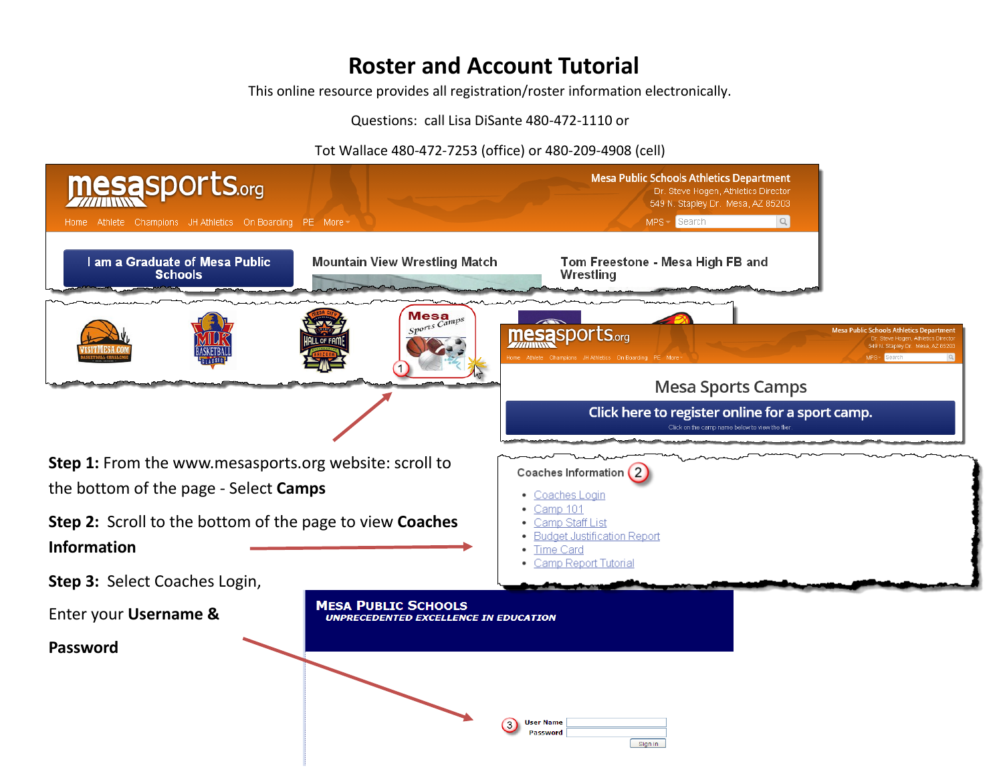## **Roster and Account Tutorial**

This online resource provides all registration/roster information electronically.

Questions: call Lisa DiSante 480-472-1110 or

Tot Wallace 480-472-7253 (office) or 480-209-4908 (cell)

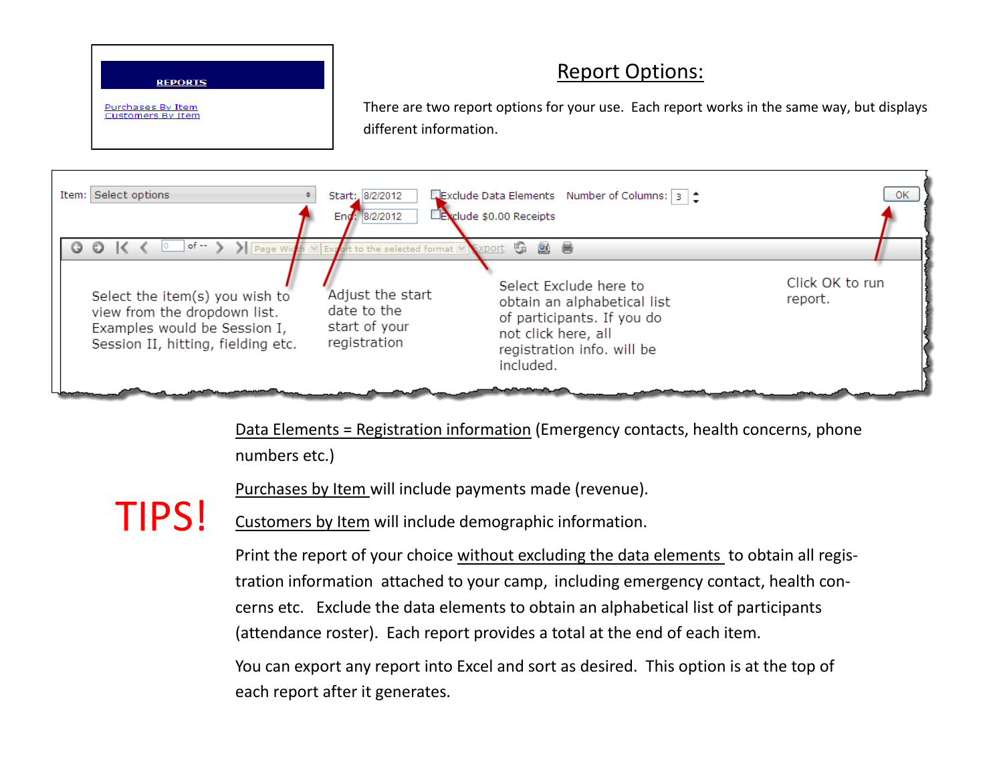## **REPORTS**

Purchases By Item **Customers By Item**  There are two report options for your use. Each report works in the same way, but displays different information.

Report Options:



Data Elements = Registration information (Emergency contacts, health concerns, phone numbers etc.)

Purchases by Item will include payments made (revenue).

Customers by Item will include demographic information. TIPS!

> Print the report of your choice without excluding the data elements to obtain all registration information attached to your camp, including emergency contact, health concerns etc. Exclude the data elements to obtain an alphabetical list of participants (attendance roster). Each report provides a total at the end of each item.

You can export any report into Excel and sort as desired. This option is at the top of each report after it generates.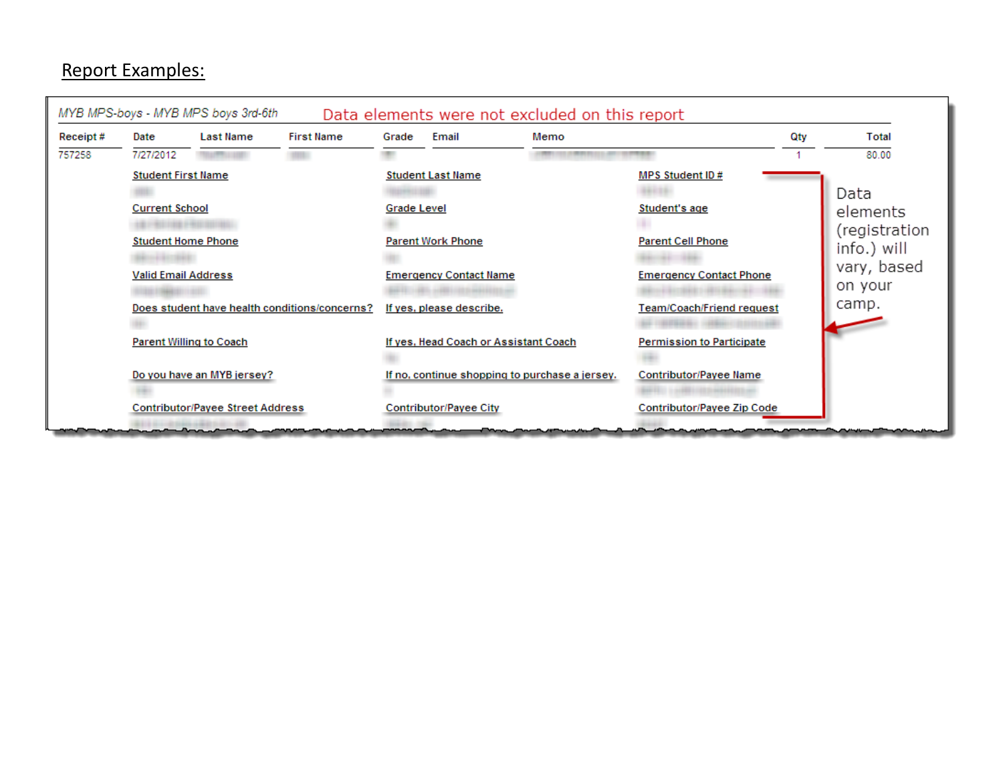## Report Examples:

|          |                                                                                                                                                                  | MYB MPS-boys - MYB MPS boys 3rd-6th |                   |                                                                                                                                                 |       | Data elements were not excluded on this report |                                                                                                |     |                                                                            |
|----------|------------------------------------------------------------------------------------------------------------------------------------------------------------------|-------------------------------------|-------------------|-------------------------------------------------------------------------------------------------------------------------------------------------|-------|------------------------------------------------|------------------------------------------------------------------------------------------------|-----|----------------------------------------------------------------------------|
| Receipt# | Date                                                                                                                                                             | <b>Last Name</b>                    | <b>First Name</b> | Grade                                                                                                                                           | Email | Memo                                           |                                                                                                | Qty | Total                                                                      |
| 757258   | 7/27/2012                                                                                                                                                        |                                     |                   |                                                                                                                                                 |       |                                                |                                                                                                |     | 80.00                                                                      |
|          | <b>Student First Name</b><br><b>Current School</b><br><b>Student Home Phone</b><br><b>Valid Email Address</b>                                                    |                                     |                   | <b>Student Last Name</b><br><b>Grade Level</b><br><b>Parent Work Phone</b><br><b>Emergency Contact Name</b>                                     |       |                                                | MPS Student ID#<br>Student's age<br><b>Parent Cell Phone</b><br><b>Emergency Contact Phone</b> |     | Data<br>elements<br>(registration<br>info.) will<br>vary, based<br>on your |
|          | Does student have health conditions/concerns?                                                                                                                    |                                     |                   | If yes, please describe.                                                                                                                        |       |                                                | Team/Coach/Friend request                                                                      |     | camp.                                                                      |
|          |                                                                                                                                                                  | <b>Parent Willing to Coach</b>      |                   | If yes, Head Coach or Assistant Coach                                                                                                           |       |                                                | <b>Permission to Participate</b>                                                               |     |                                                                            |
|          | Do you have an MYB jersey?                                                                                                                                       |                                     |                   | If no, continue shopping to purchase a jersey.                                                                                                  |       |                                                | <b>Contributor/Payee Name</b>                                                                  |     |                                                                            |
|          | <b>Contributor/Payee Street Address</b><br>the first second company of the company of the company of the company of the company of the company of the company of |                                     |                   | <b>Contributor/Payee City</b><br>and the contract of the second contract of the contract of the contract of the contract of the contract of the |       |                                                | Contributor/Payee Zip Code                                                                     |     |                                                                            |